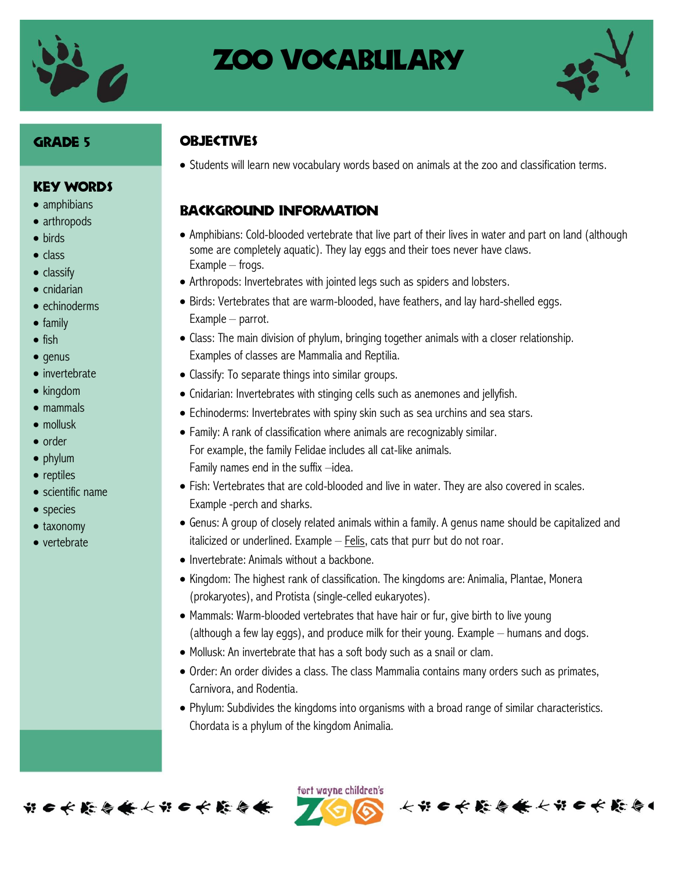

# zoo vocabulary



### Grade 5

## **OBJECTIVES**

Students will learn new vocabulary words based on animals at the zoo and classification terms.

## Background information

- Amphibians: Cold-blooded vertebrate that live part of their lives in water and part on land (although some are completely aquatic). They lay eggs and their toes never have claws. Example – frogs.
- Arthropods: Invertebrates with jointed legs such as spiders and lobsters.
- Birds: Vertebrates that are warm-blooded, have feathers, and lay hard-shelled eggs. Example – parrot.
- Class: The main division of phylum, bringing together animals with a closer relationship. Examples of classes are Mammalia and Reptilia.
- Classify: To separate things into similar groups.
- Cnidarian: Invertebrates with stinging cells such as anemones and jellyfish.
- Echinoderms: Invertebrates with spiny skin such as sea urchins and sea stars.
- Family: A rank of classification where animals are recognizably similar. For example, the family Felidae includes all cat-like animals.
- Family names end in the suffix –idea.
- Fish: Vertebrates that are cold-blooded and live in water. They are also covered in scales. Example -perch and sharks.
- Genus: A group of closely related animals within a family. A genus name should be capitalized and italicized or underlined. Example  $-$  Felis, cats that purr but do not roar.
- Invertebrate: Animals without a backbone.
- Kingdom: The highest rank of classification. The kingdoms are: Animalia, Plantae, Monera (prokaryotes), and Protista (single-celled eukaryotes).
- Mammals: Warm-blooded vertebrates that have hair or fur, give birth to live young (although a few lay eggs), and produce milk for their young. Example – humans and dogs.
- Mollusk: An invertebrate that has a soft body such as a snail or clam.
- Order: An order divides a class. The class Mammalia contains many orders such as primates, Carnivora, and Rodentia.
- Phylum: Subdivides the kingdoms into organisms with a broad range of similar characteristics. Chordata is a phylum of the kingdom Animalia.



ført wayne children's 长节6长能与条长节6长能令(

Key Words

- amphibians
- arthropods
- birds
- class
- classify
- cnidarian
- echinoderms
- family
- $\bullet$  fish
- $\bullet$  genus
- invertebrate
- kingdom
- mammals
- mollusk
- order
- phylum
- reptiles
- scientific name
- species
- taxonomy
- vertebrate